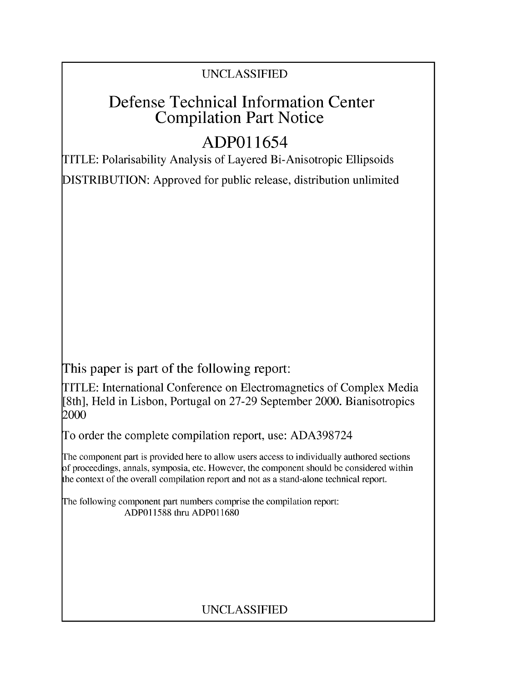### UNCLASSIFIED

# Defense Technical Information Center Compilation Part Notice

# **ADPO** 11654

TITLE: Polarisability Analysis of Layered Bi-Anisotropic Ellipsoids

DISTRIBUTION: Approved for public release, distribution unlimited

This paper is part of the following report:

TITLE: International Conference on Electromagnetics of Complex Media [8th], Held in Lisbon, Portugal on 27-29 September 2000. Bianisotropics 2000

To order the complete compilation report, use: ADA398724

The component part is provided here to allow users access to individually authored sections f proceedings, annals, symposia, etc. However, the component should be considered within [he context of the overall compilation report and not as a stand-alone technical report.

The following component part numbers comprise the compilation report: ADP011588 thru ADP011680

### UNCLASSIFIED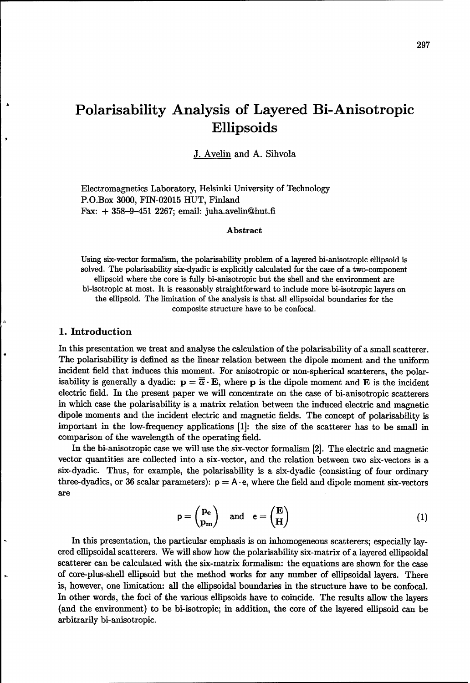## Polarisability Analysis of Layered Bi-Anisotropic Ellipsoids

J. Avelin and A. Sihvola

Electromagnetics Laboratory, Helsinki University of Technology P.O.Box 3000, FIN-02015 HUT, Finland Fax: + 358-9-451 2267; email: juha.avelinghut.fi

#### Abstract

Using six-vector formalism, the polarisability problem of a layered bi-anisotropic ellipsoid is solved. The polarisability six-dyadic is explicitly calculated for the case of a two-component ellipsoid where the core is fully bi-anisotropic but the shell and the environment are bi-isotropic at most. It is reasonably straightforward to include more bi-isotropic layers on the ellipsoid. The limitation of the analysis is that all ellipsoidal boundaries for the composite structure have to be confocal.

#### 1. Introduction

In this presentation we treat and analyse the calculation of the polarisability of a small scatterer. The polarisability is defined as the linear relation between the dipole moment and the uniform incident field that induces this moment. For anisotropic or non-spherical scatterers, the polarisability is generally a dyadic:  $\mathbf{p} = \overline{\overline{\alpha}} \cdot \mathbf{E}$ , where **p** is the dipole moment and **E** is the incident electric field. In the present paper we will concentrate on the case of bi-anisotropic scatterers in which case the polarisability is a matrix relation between the induced electric and magnetic dipole moments and the incident electric and magnetic fields. The concept of polarisability is important in the low-frequency applications [1]: the size of the scatterer has to be small in comparison of the wavelength of the operating field.

In the bi-anisotropic case we will use the six-vector formalism [2]. The electric and magnetic vector quantities are collected into a six-vector, and the relation between two six-vectors is a six-dyadic. Thus, for example, the polarisability is a six-dyadic (consisting of four ordinary three-dyadics, or 36 scalar parameters):  $p = A \cdot e$ , where the field and dipole moment six-vectors are

$$
p = \begin{pmatrix} p_e \\ p_m \end{pmatrix} \text{ and } e = \begin{pmatrix} E \\ H \end{pmatrix}
$$
 (1)

In this presentation, the particular emphasis is on inhomogeneous scatterers; especially layered ellipsoidal scatterers. We will show how the polarisability six-matrix of a layered ellipsoidal scatterer can be calculated with the six-matrix formalism: the equations are shown for the case of core-plus-shell ellipsoid but the method works for any number of ellipsoidal layers. There is, however, one limitation: all the ellipsoidal boundaries in the structure have to be confocal. In other words, the foci of the various ellipsoids have to coincide. The results allow the layers (and the environment) to be bi-isotropic; in addition, the core of the layered ellipsoid can be arbitrarily bi-anisotropic.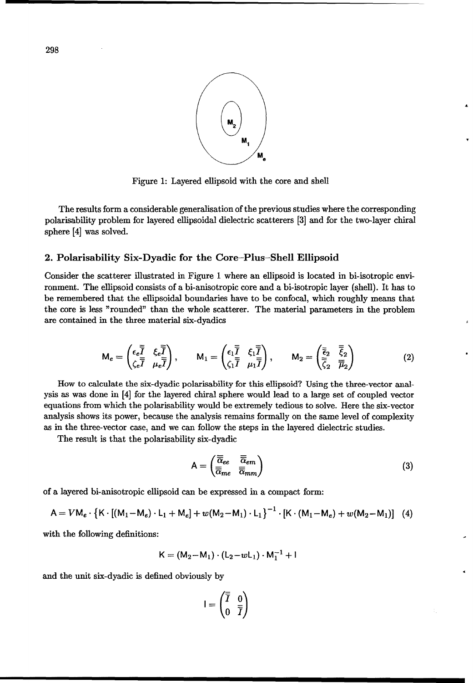

Figure 1: Layered ellipsoid with the core and shell

The results form a considerable generalisation of the previous studies where the corresponding polarisability problem for layered ellipsoidal dielectric scatterers [3] and for the two-layer chiral sphere [4] was solved.

#### 2. Polarisability Six-Dyadic for the Core-Plus-Shell Ellipsoid

Consider the scatterer illustrated in Figure 1 where an ellipsoid is located in bi-isotropic environment. The ellipsoid consists of a bi-anisotropic core and a bi-isotropic layer (shell). It has to be remembered that the ellipsoidal boundaries have to be confocal, which roughly means that the core is less "rounded" than the whole scatterer. The material parameters in the problem are contained in the three material six-dyadics

$$
\mathsf{M}_{e} = \begin{pmatrix} \epsilon_{e} \overline{\overline{I}} & \xi_{e} \overline{\overline{I}} \\ \zeta_{e} \overline{\overline{I}} & \mu_{e} \overline{\overline{I}} \end{pmatrix}, \qquad \mathsf{M}_{1} = \begin{pmatrix} \epsilon_{1} \overline{\overline{I}} & \xi_{1} \overline{\overline{I}} \\ \zeta_{1} \overline{\overline{I}} & \mu_{1} \overline{\overline{I}} \end{pmatrix}, \qquad \mathsf{M}_{2} = \begin{pmatrix} \overline{\overline{\epsilon}}_{2} & \overline{\overline{\xi}}_{2} \\ \overline{\overline{\zeta}}_{2} & \overline{\overline{\mu}}_{2} \end{pmatrix}
$$
(2)

How to calculate the six-dyadic polarisability for this ellipsoid? Using the three-vector analysis as was done in [4] for the layered chiral sphere would lead to a large set of coupled vector equations from which the polarisability would be extremely tedious to solve. Here the six-vector analysis shows its power, because the analysis remains formally on the same level of complexity as in the three-vector case, and we can follow the steps in the layered dielectric studies.

The result is that the polarisability six-dyadic

$$
A = \begin{pmatrix} \overline{\overline{\alpha}}_{ee} & \overline{\overline{\alpha}}_{em} \\ \overline{\overline{\alpha}}_{me} & \overline{\overline{\alpha}}_{mm} \end{pmatrix}
$$
 (3)

of a layered bi-anisotropic ellipsoid can be expressed in a compact form:

$$
A = VM_e \cdot \left\{ K \cdot [(M_1 - M_e) \cdot L_1 + M_e] + w(M_2 - M_1) \cdot L_1 \right\}^{-1} \cdot [K \cdot (M_1 - M_e) + w(M_2 - M_1)] \quad (4)
$$

with the following definitions:

$$
K = (M_2 - M_1) \cdot (L_2 - wL_1) \cdot M_1^{-1} + I
$$

and the unit six-dyadic is defined obviously by

$$
I = \begin{pmatrix} \overline{\overline{I}} & 0 \\ 0 & \overline{\overline{I}} \end{pmatrix}
$$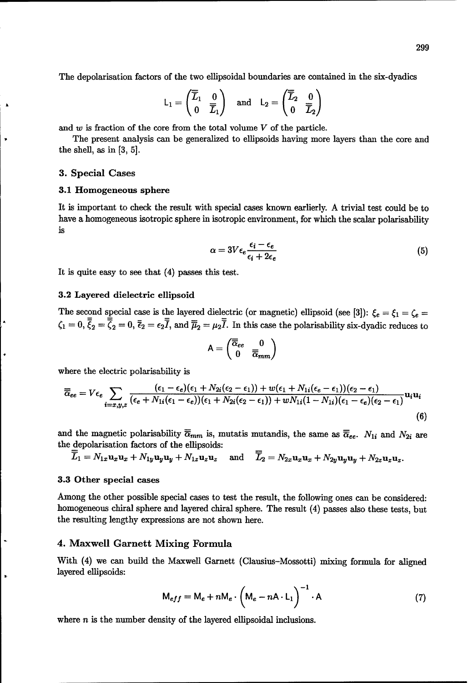The depolarisation factors of the two ellipsoidal boundaries are contained in the six-dyadics

$$
\mathsf{L}_1 = \begin{pmatrix} \overline{\overline{L}}_1 & 0 \\ 0 & \overline{\overline{L}}_1 \end{pmatrix} \quad \text{and} \quad \mathsf{L}_2 = \begin{pmatrix} \overline{\overline{L}}_2 & 0 \\ 0 & \overline{\overline{L}}_2 \end{pmatrix}
$$

and  $w$  is fraction of the core from the total volume  $V$  of the particle.

The present analysis can be generalized to ellipsoids having more layers than the core and the shell, as in [3, 5].

#### **3.** Special Cases

#### **3.1** Homogeneous sphere

It is important to check the result with special cases known earlierly. A trivial test could be to have a homogeneous isotropic sphere in isotropic environment, for which the scalar polarisability is

$$
\alpha = 3V\epsilon_e \frac{\epsilon_i - \epsilon_e}{\epsilon_i + 2\epsilon_e} \tag{5}
$$

It is quite easy to see that (4) passes this test.

#### 3.2 Layered dielectric ellipsoid

The second special case is the layered dielectric (or magnetic) ellipsoid (see [3]):  $\xi_e = \xi_1 = \zeta_e =$  $\zeta_1 = 0$ ,  $\overline{\overline{\zeta}}_2 = \overline{\overline{\zeta}}_2 = 0$ ,  $\overline{\overline{\zeta}}_2 = \epsilon_2 \overline{\overline{I}}$ , and  $\overline{\overline{\mu}}_2 = \mu_2 \overline{\overline{I}}$ . In this case the polarisability six-dyadic reduces to

$$
\mathsf{A} = \begin{pmatrix} \overline{\overline{\alpha}}_{ee} & 0 \\ 0 & \overline{\overline{\alpha}}_{mm} \end{pmatrix}
$$

where the electric polarisability is

$$
\overline{\overline{\alpha}}_{ee} = V \epsilon_e \sum_{i=x,y,z} \frac{(\epsilon_1 - \epsilon_e)(\epsilon_1 + N_{2i}(\epsilon_2 - \epsilon_1)) + w(\epsilon_1 + N_{1i}(\epsilon_e - \epsilon_1))(\epsilon_2 - \epsilon_1)}{(\epsilon_e + N_{1i}(\epsilon_1 - \epsilon_e))(\epsilon_1 + N_{2i}(\epsilon_2 - \epsilon_1)) + w N_{1i}(1 - N_{1i})(\epsilon_1 - \epsilon_e)(\epsilon_2 - \epsilon_1)} \mathbf{u}_i \mathbf{u}_i
$$
\n(6)

and the magnetic polarisability  $\overline{\overline{\alpha}}_{mm}$  is, mutatis mutandis, the same as  $\overline{\overline{\alpha}}_{ee}$ .  $N_{1i}$  and  $N_{2i}$  are the depolarisation factors of the ellipsoids:

$$
\overline{\overline{L}}_1 = N_{1x}\mathbf{u}_x\mathbf{u}_x + N_{1y}\mathbf{u}_y\mathbf{u}_y + N_{1z}\mathbf{u}_z\mathbf{u}_z \quad \text{and} \quad \overline{\overline{L}}_2 = N_{2x}\mathbf{u}_x\mathbf{u}_x + N_{2y}\mathbf{u}_y\mathbf{u}_y + N_{2z}\mathbf{u}_z\mathbf{u}_z.
$$

#### **3.3** Other special cases

Among the other possible special cases to test the result, the following ones can be considered: homogeneous chiral sphere and layered chiral sphere. The result (4) passes also these tests, but the resulting lengthy expressions are not shown here.

#### 4. Maxwell Garnett Mixing Formula

With (4) we can build the Maxwell Garnett (Clausius-Mossotti) mixing formula for aligned layered ellipsoids:

$$
M_{eff} = M_e + nM_e \cdot \left(M_e - nA \cdot L_1\right)^{-1} \cdot A \tag{7}
$$

where  $n$  is the number density of the layered ellipsoidal inclusions.